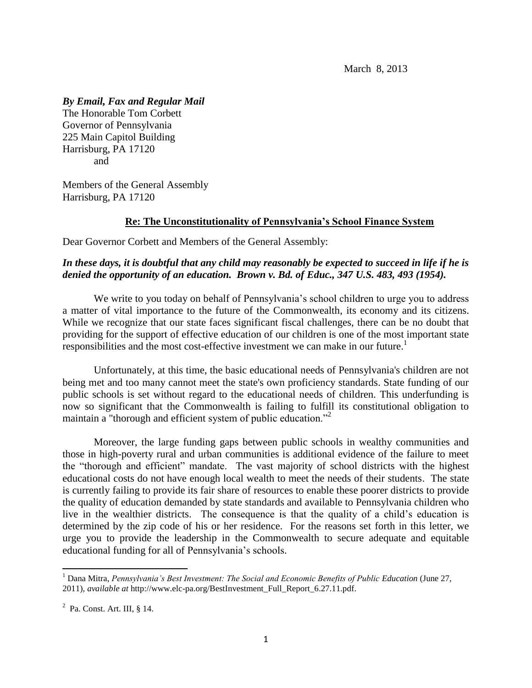March 8, 2013

## *By Email, Fax and Regular Mail*

The Honorable Tom Corbett Governor of Pennsylvania 225 Main Capitol Building Harrisburg, PA 17120 and

Members of the General Assembly Harrisburg, PA 17120

## **Re: The Unconstitutionality of Pennsylvania's School Finance System**

Dear Governor Corbett and Members of the General Assembly:

# *In these days, it is doubtful that any child may reasonably be expected to succeed in life if he is denied the opportunity of an education. Brown v. Bd. of Educ., 347 U.S. 483, 493 (1954).*

We write to you today on behalf of Pennsylvania's school children to urge you to address a matter of vital importance to the future of the Commonwealth, its economy and its citizens. While we recognize that our state faces significant fiscal challenges, there can be no doubt that providing for the support of effective education of our children is one of the most important state responsibilities and the most cost-effective investment we can make in our future.<sup>1</sup>

Unfortunately, at this time, the basic educational needs of Pennsylvania's children are not being met and too many cannot meet the state's own proficiency standards. State funding of our public schools is set without regard to the educational needs of children. This underfunding is now so significant that the Commonwealth is failing to fulfill its constitutional obligation to maintain a "thorough and efficient system of public education."<sup>2</sup>

Moreover, the large funding gaps between public schools in wealthy communities and those in high-poverty rural and urban communities is additional evidence of the failure to meet the "thorough and efficient" mandate. The vast majority of school districts with the highest educational costs do not have enough local wealth to meet the needs of their students. The state is currently failing to provide its fair share of resources to enable these poorer districts to provide the quality of education demanded by state standards and available to Pennsylvania children who live in the wealthier districts. The consequence is that the quality of a child's education is determined by the zip code of his or her residence. For the reasons set forth in this letter, we urge you to provide the leadership in the Commonwealth to secure adequate and equitable educational funding for all of Pennsylvania's schools.

 $\overline{\phantom{a}}$ 

<sup>&</sup>lt;sup>1</sup> Dana Mitra. *Pennsylvania's Best Investment: The Social and Economic Benefits of Public Education (June 27,* 2011), *available at* http://www.elc-pa.org/BestInvestment\_Full\_Report\_6.27.11.pdf.

 $2$  Pa. Const. Art. III, § 14.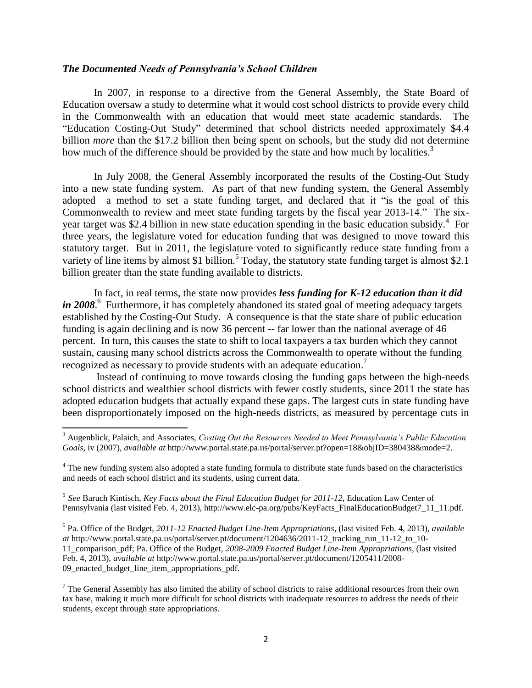#### *The Documented Needs of Pennsylvania's School Children*

 $\overline{\phantom{a}}$ 

In 2007, in response to a directive from the General Assembly, the State Board of Education oversaw a study to determine what it would cost school districts to provide every child in the Commonwealth with an education that would meet state academic standards. The "Education Costing-Out Study" determined that school districts needed approximately \$4.4 billion *more* than the \$17.2 billion then being spent on schools, but the study did not determine how much of the difference should be provided by the state and how much by localities.<sup>3</sup>

In July 2008, the General Assembly incorporated the results of the Costing-Out Study into a new state funding system. As part of that new funding system, the General Assembly adopted a method to set a state funding target, and declared that it "is the goal of this Commonwealth to review and meet state funding targets by the fiscal year 2013-14." The sixyear target was \$2.4 billion in new state education spending in the basic education subsidy. 4 For three years, the legislature voted for education funding that was designed to move toward this statutory target. But in 2011, the legislature voted to significantly reduce state funding from a variety of line items by almost \$1 billion.<sup>5</sup> Today, the statutory state funding target is almost \$2.1 billion greater than the state funding available to districts.

In fact, in real terms, the state now provides *less funding for K-12 education than it did* in 2008.<sup>6</sup> Furthermore, it has completely abandoned its stated goal of meeting adequacy targets established by the Costing-Out Study. A consequence is that the state share of public education funding is again declining and is now 36 percent -- far lower than the national average of 46 percent. In turn, this causes the state to shift to local taxpayers a tax burden which they cannot sustain, causing many school districts across the Commonwealth to operate without the funding recognized as necessary to provide students with an adequate education.<sup>7</sup>

Instead of continuing to move towards closing the funding gaps between the high-needs school districts and wealthier school districts with fewer costly students, since 2011 the state has adopted education budgets that actually expand these gaps. The largest cuts in state funding have been disproportionately imposed on the high-needs districts, as measured by percentage cuts in

5 *See* Baruch Kintisch, *Key Facts about the Final Education Budget for 2011-12*, Education Law Center of Pennsylvania (last visited Feb. 4, 2013), http://www.elc-pa.org/pubs/KeyFacts\_FinalEducationBudget7\_11\_11.pdf.

6 Pa. Office of the Budget, *[2011-12 Enacted Budget Line-Item Appropriations](http://www.portal.state.pa.us/portal/server.pt/document/1204636/2011-12_tracking_run_11-12_to_10-11_comparison_pdf)*, (last visited Feb. 4, 2013), *available at* [http://www.portal.state.pa.us/portal/server.pt/document/1204636/2011-12\\_tracking\\_run\\_11-12\\_to\\_10-](http://www.portal.state.pa.us/portal/server.pt/document/1204636/2011-12_tracking_run_11-12_to_10-11_comparison_pdf) [11\\_comparison\\_pdf;](http://www.portal.state.pa.us/portal/server.pt/document/1204636/2011-12_tracking_run_11-12_to_10-11_comparison_pdf) Pa. Office of the Budget, *2008-2009 Enacted Budget Line-Item Appropriations*, (last visited Feb. 4, 2013), *available at* http://www.portal.state.pa.us/portal/server.pt/document/1205411/2008- 09\_enacted\_budget\_line\_item\_appropriations\_pdf.

 $<sup>7</sup>$  The General Assembly has also limited the ability of school districts to raise additional resources from their own</sup> tax base, making it much more difficult for school districts with inadequate resources to address the needs of their students, except through state appropriations.

<sup>3</sup> Augenblick, Palaich, and Associates, *Costing Out the Resources Needed to Meet Pennsylvania's Public Education Goals*, iv (2007), *available at* http://www.portal.state.pa.us/portal/server.pt?open=18&objID=380438&mode=2.

<sup>&</sup>lt;sup>4</sup> The new funding system also adopted a state funding formula to distribute state funds based on the characteristics and needs of each school district and its students, using current data.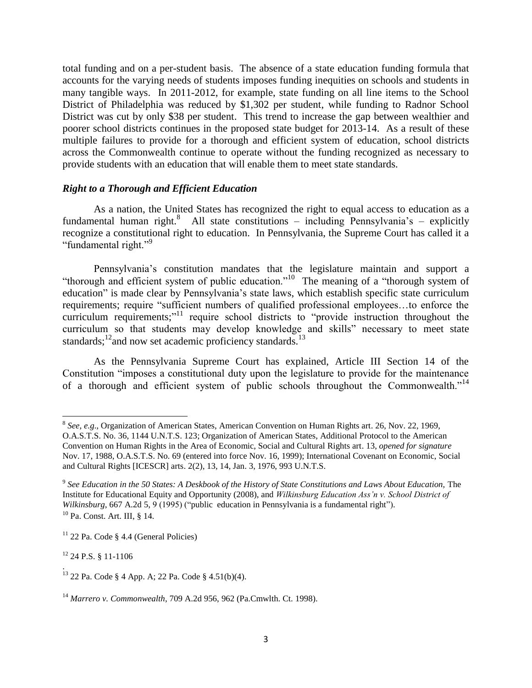total funding and on a per-student basis. The absence of a state education funding formula that accounts for the varying needs of students imposes funding inequities on schools and students in many tangible ways. In 2011-2012, for example, state funding on all line items to the School District of Philadelphia was reduced by \$1,302 per student, while funding to Radnor School District was cut by only \$38 per student. This trend to increase the gap between wealthier and poorer school districts continues in the proposed state budget for 2013-14. As a result of these multiple failures to provide for a thorough and efficient system of education, school districts across the Commonwealth continue to operate without the funding recognized as necessary to provide students with an education that will enable them to meet state standards.

## *Right to a Thorough and Efficient Education*

As a nation, the United States has recognized the right to equal access to education as a fundamental human right.<sup>8</sup> All state constitutions – including Pennsylvania's – explicitly recognize a constitutional right to education. In Pennsylvania, the Supreme Court has called it a "fundamental right."<sup>9</sup>

Pennsylvania's constitution mandates that the legislature maintain and support a "thorough and efficient system of public education."<sup>10</sup> The meaning of a "thorough system of education" is made clear by Pennsylvania's state laws, which establish specific state curriculum requirements; require "sufficient numbers of qualified professional employees…to enforce the curriculum requirements;"<sup>11</sup> require school districts to "provide instruction throughout the curriculum so that students may develop knowledge and skills" necessary to meet state standards;<sup>12</sup>and now set academic proficiency standards.<sup>13</sup>

As the Pennsylvania Supreme Court has explained, Article III Section 14 of the Constitution "imposes a constitutional duty upon the legislature to provide for the maintenance of a thorough and efficient system of public schools throughout the Commonwealth."<sup>14</sup>

<sup>12</sup> 24 P.S. § 11-1106

.

<sup>&</sup>lt;sup>8</sup> See, e.g., Organization of American States, American Convention on Human Rights art. 26, Nov. 22, 1969, O.A.S.T.S. No. 36, 1144 U.N.T.S. 123; Organization of American States, Additional Protocol to the American Convention on Human Rights in the Area of Economic, Social and Cultural Rights art. 13, *opened for signature*  Nov. 17, 1988, O.A.S.T.S. No. 69 (entered into force Nov. 16, 1999); International Covenant on Economic, Social and Cultural Rights [ICESCR] arts. 2(2), 13, 14, Jan. 3, 1976, 993 U.N.T.S.

<sup>&</sup>lt;sup>9</sup> See Education in the 50 States: A Deskbook of the History of State Constitutions and Laws About Education, The Institute for Educational Equity and Opportunity (2008), and *Wilkinsburg Education Ass'n v. School District of Wilkinsburg*, 667 A.2d 5, 9 (1995) ("public education in Pennsylvania is a fundamental right"). <sup>10</sup> Pa. Const. Art. III, § 14.

 $11$  22 Pa. Code  $\&$  4.4 (General Policies)

<sup>13</sup> 22 Pa. Code § 4 App. A; 22 Pa. Code § 4.51(b)(4).

<sup>14</sup> *Marrero v. Commonwealth*, 709 A.2d 956, 962 (Pa.Cmwlth. Ct. 1998).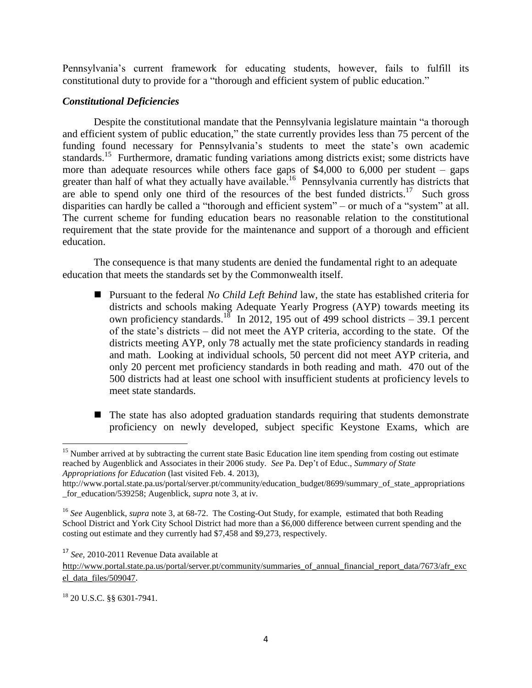Pennsylvania's current framework for educating students, however, fails to fulfill its constitutional duty to provide for a "thorough and efficient system of public education."

# *Constitutional Deficiencies*

Despite the constitutional mandate that the Pennsylvania legislature maintain "a thorough and efficient system of public education," the state currently provides less than 75 percent of the funding found necessary for Pennsylvania's students to meet the state's own academic standards.<sup>15</sup> Furthermore, dramatic funding variations among districts exist; some districts have more than adequate resources while others face gaps of  $\overline{\frac{1}{24}}$ ,000 to 6,000 per student – gaps greater than half of what they actually have available.<sup>16</sup> Pennsylvania currently has districts that are able to spend only one third of the resources of the best funded districts.<sup>17</sup> Such gross disparities can hardly be called a "thorough and efficient system" – or much of a "system" at all. The current scheme for funding education bears no reasonable relation to the constitutional requirement that the state provide for the maintenance and support of a thorough and efficient education.

The consequence is that many students are denied the fundamental right to an adequate education that meets the standards set by the Commonwealth itself.

- Pursuant to the federal *No Child Left Behind* law, the state has established criteria for districts and schools making Adequate Yearly Progress (AYP) towards meeting its own proficiency standards.<sup>18</sup> In 2012, 195 out of 499 school districts – 39.1 percent of the state's districts – did not meet the AYP criteria, according to the state. Of the districts meeting AYP, only 78 actually met the state proficiency standards in reading and math. Looking at individual schools, 50 percent did not meet AYP criteria, and only 20 percent met proficiency standards in both reading and math. 470 out of the 500 districts had at least one school with insufficient students at proficiency levels to meet state standards.
- The state has also adopted graduation standards requiring that students demonstrate proficiency on newly developed, subject specific Keystone Exams, which are

 $\overline{a}$ 

<sup>&</sup>lt;sup>15</sup> Number arrived at by subtracting the current state Basic Education line item spending from costing out estimate reached by Augenblick and Associates in their 2006 study. *See* Pa. Dep't of Educ., *Summary of State Appropriations for Education* (last visited Feb. 4. 2013),

http://www.portal.state.pa.us/portal/server.pt/community/education\_budget/8699/summary\_of\_state\_appropriations for education/539258; Augenblick, *supra* note 3, at iv.

<sup>16</sup> *See* Augenblick, *supra* note 3, at 68-72. The Costing-Out Study, for example, estimated that both Reading School District and York City School District had more than a \$6,000 difference between current spending and the costing out estimate and they currently had \$7,458 and \$9,273, respectively.

<sup>17</sup> *See,* 2010-2011 Revenue Data available at

h[ttp://www.portal.state.pa.us/portal/server.pt/community/summaries\\_of\\_annual\\_financial\\_report\\_data/7673/afr\\_exc](http://www.portal.state.pa.us/portal/server.pt/community/summaries_of_annual_financial_report_data/7673/afr_excel_data_files/509047) [el\\_data\\_files/509047](http://www.portal.state.pa.us/portal/server.pt/community/summaries_of_annual_financial_report_data/7673/afr_excel_data_files/509047).

<sup>18</sup> 20 U.S.C. §§ 6301-7941.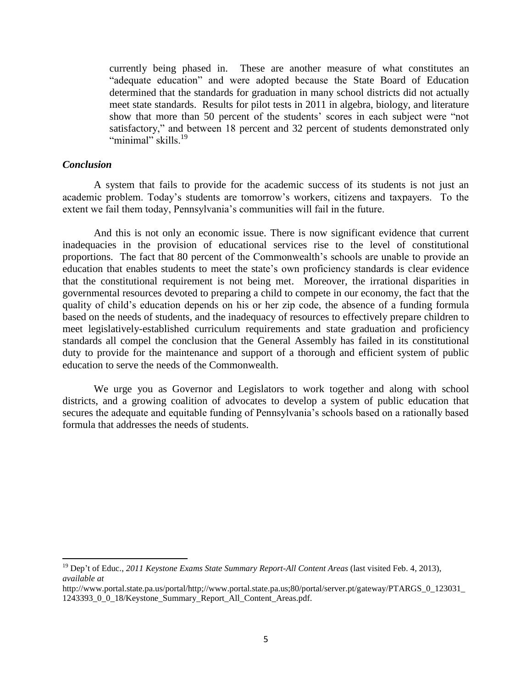currently being phased in. These are another measure of what constitutes an "adequate education" and were adopted because the State Board of Education determined that the standards for graduation in many school districts did not actually meet state standards. Results for pilot tests in 2011 in algebra, biology, and literature show that more than 50 percent of the students' scores in each subject were "not satisfactory," and between 18 percent and 32 percent of students demonstrated only "minimal" skills.<sup>19</sup>

## *Conclusion*

 $\overline{\phantom{a}}$ 

A system that fails to provide for the academic success of its students is not just an academic problem. Today's students are tomorrow's workers, citizens and taxpayers. To the extent we fail them today, Pennsylvania's communities will fail in the future.

And this is not only an economic issue. There is now significant evidence that current inadequacies in the provision of educational services rise to the level of constitutional proportions. The fact that 80 percent of the Commonwealth's schools are unable to provide an education that enables students to meet the state's own proficiency standards is clear evidence that the constitutional requirement is not being met. Moreover, the irrational disparities in governmental resources devoted to preparing a child to compete in our economy, the fact that the quality of child's education depends on his or her zip code, the absence of a funding formula based on the needs of students, and the inadequacy of resources to effectively prepare children to meet legislatively-established curriculum requirements and state graduation and proficiency standards all compel the conclusion that the General Assembly has failed in its constitutional duty to provide for the maintenance and support of a thorough and efficient system of public education to serve the needs of the Commonwealth.

We urge you as Governor and Legislators to work together and along with school districts, and a growing coalition of advocates to develop a system of public education that secures the adequate and equitable funding of Pennsylvania's schools based on a rationally based formula that addresses the needs of students.

<sup>19</sup> Dep't of Educ., *2011 Keystone Exams State Summary Report-All Content Areas* (last visited Feb. 4, 2013), *available at*

http://www.portal.state.pa.us/portal/http;//www.portal.state.pa.us;80/portal/server.pt/gateway/PTARGS\_0\_123031\_ 1243393\_0\_0\_18/Keystone\_Summary\_Report\_All\_Content\_Areas.pdf.